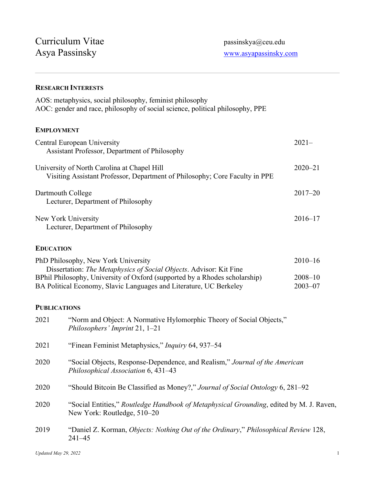## **RESEARCH INTERESTS**

| AOS: metaphysics, social philosophy, feminist philosophy<br>AOC: gender and race, philosophy of social science, political philosophy, PPE |             |
|-------------------------------------------------------------------------------------------------------------------------------------------|-------------|
| <b>EMPLOYMENT</b>                                                                                                                         |             |
| Central European University<br>Assistant Professor, Department of Philosophy                                                              | $2021 -$    |
| University of North Carolina at Chapel Hill<br>Visiting Assistant Professor, Department of Philosophy; Core Faculty in PPE                | $2020 - 21$ |
| Dartmouth College<br>Lecturer, Department of Philosophy                                                                                   | $2017 - 20$ |
| New York University<br>Lecturer, Department of Philosophy                                                                                 | $2016 - 17$ |
| <b>EDUCATION</b>                                                                                                                          |             |
| PhD Philosophy, New York University<br>Dissertation: The Metaphysics of Social Objects. Advisor: Kit Fine                                 | $2010 - 16$ |

| BPhil Philosophy, University of Oxford (supported by a Rhodes scholarship) | $2008 - 10$ |
|----------------------------------------------------------------------------|-------------|
| BA Political Economy, Slavic Languages and Literature, UC Berkeley         | $2003 - 07$ |

# **PUBLICATIONS**

| 2021 | "Norm and Object: A Normative Hylomorphic Theory of Social Objects,"<br>Philosophers' Imprint $21, 1-21$                       |
|------|--------------------------------------------------------------------------------------------------------------------------------|
| 2021 | "Finean Feminist Metaphysics," <i>Inquiry</i> 64, 937–54                                                                       |
| 2020 | "Social Objects, Response-Dependence, and Realism," Journal of the American<br>Philosophical Association 6, 431–43             |
| 2020 | "Should Bitcoin Be Classified as Money?," Journal of Social Ontology 6, 281–92                                                 |
| 2020 | "Social Entities," <i>Routledge Handbook of Metaphysical Grounding</i> , edited by M. J. Raven,<br>New York: Routledge, 510–20 |
| 2019 | "Daniel Z. Korman, <i>Objects: Nothing Out of the Ordinary," Philosophical Review</i> 128,<br>$241 - 45$                       |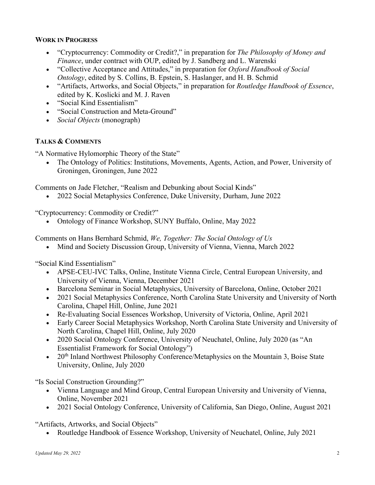#### **WORK IN PROGRESS**

- "Cryptocurrency: Commodity or Credit?," in preparation for *The Philosophy of Money and Finance*, under contract with OUP, edited by J. Sandberg and L. Warenski
- "Collective Acceptance and Attitudes," in preparation for *Oxford Handbook of Social Ontology*, edited by S. Collins, B. Epstein, S. Haslanger, and H. B. Schmid
- "Artifacts, Artworks, and Social Objects," in preparation for *Routledge Handbook of Essence*, edited by K. Koslicki and M. J. Raven
- "Social Kind Essentialism"
- "Social Construction and Meta-Ground"
- *Social Objects* (monograph)

## **TALKS & COMMENTS**

"A Normative Hylomorphic Theory of the State"

• The Ontology of Politics: Institutions, Movements, Agents, Action, and Power, University of Groningen, Groningen, June 2022

Comments on Jade Fletcher, "Realism and Debunking about Social Kinds"

• 2022 Social Metaphysics Conference, Duke University, Durham, June 2022

"Cryptocurrency: Commodity or Credit?"

• Ontology of Finance Workshop, SUNY Buffalo, Online, May 2022

Comments on Hans Bernhard Schmid, *We, Together: The Social Ontology of Us*

• Mind and Society Discussion Group, University of Vienna, Vienna, March 2022

"Social Kind Essentialism"

- APSE-CEU-IVC Talks, Online, Institute Vienna Circle, Central European University, and University of Vienna, Vienna, December 2021
- Barcelona Seminar in Social Metaphysics, University of Barcelona, Online, October 2021
- 2021 Social Metaphysics Conference, North Carolina State University and University of North Carolina, Chapel Hill, Online, June 2021
- Re-Evaluating Social Essences Workshop, University of Victoria, Online, April 2021
- Early Career Social Metaphysics Workshop, North Carolina State University and University of North Carolina, Chapel Hill, Online, July 2020
- 2020 Social Ontology Conference, University of Neuchatel, Online, July 2020 (as "An Essentialist Framework for Social Ontology")
- 20<sup>th</sup> Inland Northwest Philosophy Conference/Metaphysics on the Mountain 3, Boise State University, Online, July 2020

"Is Social Construction Grounding?"

- Vienna Language and Mind Group, Central European University and University of Vienna, Online, November 2021
- 2021 Social Ontology Conference, University of California, San Diego, Online, August 2021

"Artifacts, Artworks, and Social Objects"

• Routledge Handbook of Essence Workshop, University of Neuchatel, Online, July 2021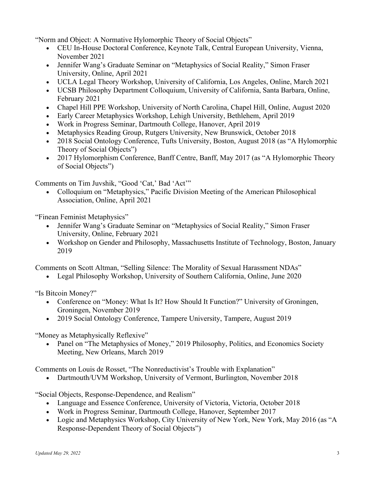"Norm and Object: A Normative Hylomorphic Theory of Social Objects"

- CEU In-House Doctoral Conference, Keynote Talk, Central European University, Vienna, November 2021
- Jennifer Wang's Graduate Seminar on "Metaphysics of Social Reality," Simon Fraser University, Online, April 2021
- UCLA Legal Theory Workshop, University of California, Los Angeles, Online, March 2021
- UCSB Philosophy Department Colloquium, University of California, Santa Barbara, Online, February 2021
- Chapel Hill PPE Workshop, University of North Carolina, Chapel Hill, Online, August 2020
- Early Career Metaphysics Workshop, Lehigh University, Bethlehem, April 2019
- Work in Progress Seminar, Dartmouth College, Hanover, April 2019
- Metaphysics Reading Group, Rutgers University, New Brunswick, October 2018
- 2018 Social Ontology Conference, Tufts University, Boston, August 2018 (as "A Hylomorphic Theory of Social Objects")
- 2017 Hylomorphism Conference, Banff Centre, Banff, May 2017 (as "A Hylomorphic Theory of Social Objects")

Comments on Tim Juvshik, "Good 'Cat,' Bad 'Act'"

• Colloquium on "Metaphysics," Pacific Division Meeting of the American Philosophical Association, Online, April 2021

"Finean Feminist Metaphysics"

- Jennifer Wang's Graduate Seminar on "Metaphysics of Social Reality," Simon Fraser University, Online, February 2021
- Workshop on Gender and Philosophy, Massachusetts Institute of Technology, Boston, January 2019

Comments on Scott Altman, "Selling Silence: The Morality of Sexual Harassment NDAs"

• Legal Philosophy Workshop, University of Southern California, Online, June 2020

"Is Bitcoin Money?"

- Conference on "Money: What Is It? How Should It Function?" University of Groningen, Groningen, November 2019
- 2019 Social Ontology Conference, Tampere University, Tampere, August 2019

"Money as Metaphysically Reflexive"

• Panel on "The Metaphysics of Money," 2019 Philosophy, Politics, and Economics Society Meeting, New Orleans, March 2019

Comments on Louis de Rosset, "The Nonreductivist's Trouble with Explanation"

• Dartmouth/UVM Workshop, University of Vermont, Burlington, November 2018

"Social Objects, Response-Dependence, and Realism"

- Language and Essence Conference, University of Victoria, Victoria, October 2018
- Work in Progress Seminar, Dartmouth College, Hanover, September 2017
- Logic and Metaphysics Workshop, City University of New York, New York, May 2016 (as "A Response-Dependent Theory of Social Objects")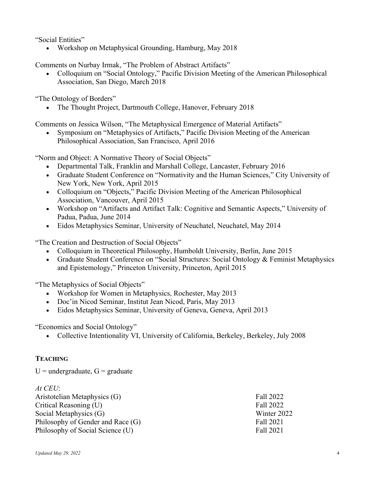"Social Entities"

• Workshop on Metaphysical Grounding, Hamburg, May 2018

Comments on Nurbay Irmak, "The Problem of Abstract Artifacts"

• Colloquium on "Social Ontology," Pacific Division Meeting of the American Philosophical Association, San Diego, March 2018

"The Ontology of Borders"

• The Thought Project, Dartmouth College, Hanover, February 2018

Comments on Jessica Wilson, "The Metaphysical Emergence of Material Artifacts"

• Symposium on "Metaphysics of Artifacts," Pacific Division Meeting of the American Philosophical Association, San Francisco, April 2016

"Norm and Object: A Normative Theory of Social Objects"

- Departmental Talk, Franklin and Marshall College, Lancaster, February 2016
- Graduate Student Conference on "Normativity and the Human Sciences," City University of New York, New York, April 2015
- Colloquium on "Objects," Pacific Division Meeting of the American Philosophical Association, Vancouver, April 2015
- Workshop on "Artifacts and Artifact Talk: Cognitive and Semantic Aspects," University of Padua, Padua, June 2014
- Eidos Metaphysics Seminar, University of Neuchatel, Neuchatel, May 2014

"The Creation and Destruction of Social Objects"

- Colloquium in Theoretical Philosophy, Humboldt University, Berlin, June 2015
- Graduate Student Conference on "Social Structures: Social Ontology & Feminist Metaphysics and Epistemology," Princeton University, Princeton, April 2015

"The Metaphysics of Social Objects"

- Workshop for Women in Metaphysics, Rochester, May 2013
- Doc'in Nicod Seminar, Institut Jean Nicod, Paris, May 2013
- Eidos Metaphysics Seminar, University of Geneva, Geneva, April 2013

"Economics and Social Ontology"

• Collective Intentionality VI, University of California, Berkeley, Berkeley, July 2008

### **TEACHING**

 $U =$  undergraduate,  $G =$  graduate

| $At$ CEU:                         |             |
|-----------------------------------|-------------|
| Aristotelian Metaphysics (G)      | Fall 2022   |
| Critical Reasoning (U)            | Fall 2022   |
| Social Metaphysics (G)            | Winter 2022 |
| Philosophy of Gender and Race (G) | Fall 2021   |
| Philosophy of Social Science (U)  | Fall 2021   |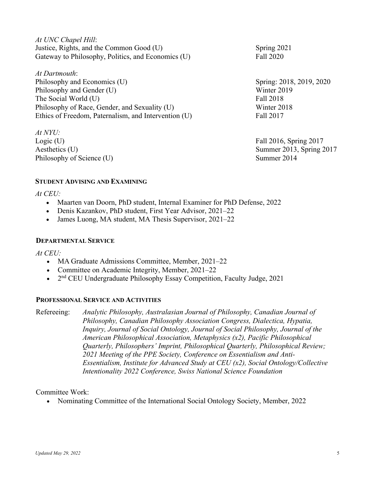*At UNC Chapel Hill*: Justice, Rights, and the Common Good (U) Spring 2021 Gateway to Philosophy, Politics, and Economics (U) Fall 2020

*At Dartmouth*: Philosophy and Economics (U) Spring: 2018, 2019, 2020 Philosophy and Gender (U) Winter 2019 The Social World (U) Fall 2018 Philosophy of Race, Gender, and Sexuality (U) Winter 2018 Ethics of Freedom, Paternalism, and Intervention (U) Fall 2017

*At NYU:*   $Logic (U)$  Fall 2016, Spring 2017 Philosophy of Science (U) Summer 2014

**STUDENT ADVISING AND EXAMINING** 

*At CEU:* 

- Maarten van Doorn, PhD student, Internal Examiner for PhD Defense, 2022
- Denis Kazankov, PhD student, First Year Advisor, 2021–22
- James Luong, MA student, MA Thesis Supervisor, 2021–22

#### **DEPARTMENTAL SERVICE**

*At CEU:* 

- MA Graduate Admissions Committee, Member, 2021–22
- Committee on Academic Integrity, Member, 2021–22
- 2<sup>nd</sup> CEU Undergraduate Philosophy Essay Competition, Faculty Judge, 2021

#### **PROFESSIONAL SERVICE AND ACTIVITIES**

Refereeing: *Analytic Philosophy, Australasian Journal of Philosophy, Canadian Journal of Philosophy, Canadian Philosophy Association Congress, Dialectica, Hypatia, Inquiry, Journal of Social Ontology, Journal of Social Philosophy, Journal of the American Philosophical Association, Metaphysics (x2), Pacific Philosophical Quarterly, Philosophers' Imprint, Philosophical Quarterly, Philosophical Review;* 

*2021 Meeting of the PPE Society, Conference on Essentialism and Anti-Essentialism, Institute for Advanced Study at CEU (x2), Social Ontology/Collective Intentionality 2022 Conference, Swiss National Science Foundation*

Committee Work:

• Nominating Committee of the International Social Ontology Society, Member, 2022

Aesthetics (U) Summer 2013, Spring 2017